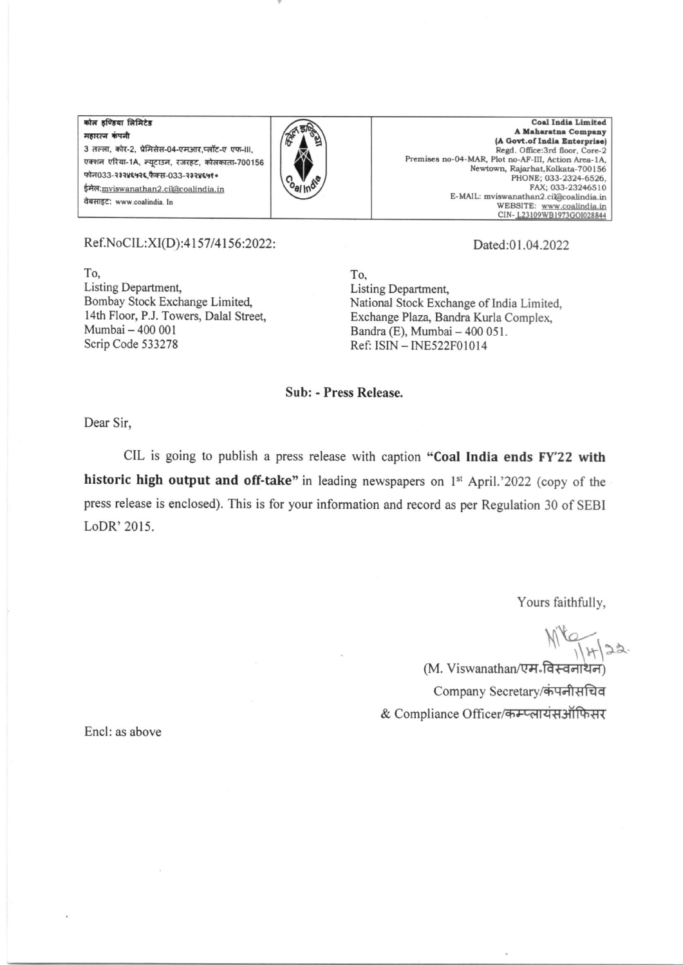कोल इण्डिया लिमिटेड महारत्न कंपनी 3 तल्ला, कोर-2, प्रेमिसेस-04-एमआर.प्लॉट-ए एफ-III. एक्शन एरिया-1A, न्यटाउन, रजरहट, कोलकाता-700156 फोन033-२३२४६५२६ फैक्स-033-२३२४६५१० ईमेल: mviswanathan2.cil@coalindia.in वेबसाइट: www.coalindia. In



**Coal India Limited** A Maharatna Company (A Govt.of India Enterprise) Regd. Office:3rd floor, Core-2 Premises no-04-MAR, Plot no-AF-III, Action Area-1A, Newtown, Rajarhat, Kolkata-700156 PHONE: 033-2324-6526. FAX: 033-23246510 E-MAIL: mviswanathan2.cil@coalindia.in WEBSITE: www.coalindia.in<br>CIN-L23109WB1973GOI028844

## Ref.NoCIL:XI(D):4157/4156:2022:

To. Listing Department, Bombay Stock Exchange Limited, 14th Floor, P.J. Towers, Dalal Street, Mumbai - 400 001 Scrip Code 533278

## Dated:01.04.2022

To. Listing Department, National Stock Exchange of India Limited, Exchange Plaza, Bandra Kurla Complex, Bandra (E), Mumbai - 400 051. Ref: ISIN - INE522F01014

## Sub: - Press Release.

Dear Sir,

CIL is going to publish a press release with caption "Coal India ends FY'22 with historic high output and off-take" in leading newspapers on 1<sup>st</sup> April.'2022 (copy of the press release is enclosed). This is for your information and record as per Regulation 30 of SEBI LoDR' 2015.

Yours faithfully,

(M. Viswanathan/एम-विस्वनाथन) Company Secretary/कंपनीसचिव & Compliance Officer/कम्प्लायंसऑफिसर

Encl: as above